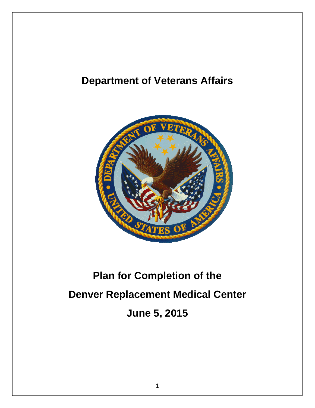# **Department of Veterans Affairs**



# **Plan for Completion of the Denver Replacement Medical Center June 5, 2015**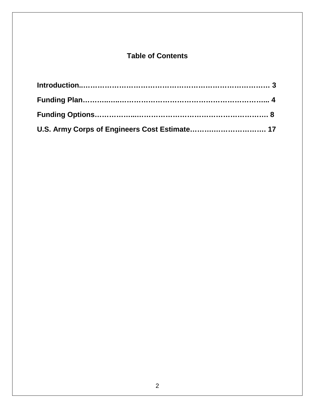## **Table of Contents**

| U.S. Army Corps of Engineers Cost Estimate 17 |  |
|-----------------------------------------------|--|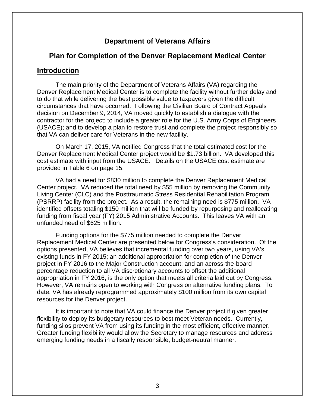### **Department of Veterans Affairs**

#### **Plan for Completion of the Denver Replacement Medical Center**

#### **Introduction**

The main priority of the Department of Veterans Affairs (VA) regarding the Denver Replacement Medical Center is to complete the facility without further delay and to do that while delivering the best possible value to taxpayers given the difficult circumstances that have occurred. Following the Civilian Board of Contract Appeals decision on December 9, 2014, VA moved quickly to establish a dialogue with the contractor for the project; to include a greater role for the U.S. Army Corps of Engineers (USACE); and to develop a plan to restore trust and complete the project responsibly so that VA can deliver care for Veterans in the new facility.

On March 17, 2015, VA notified Congress that the total estimated cost for the Denver Replacement Medical Center project would be \$1.73 billion. VA developed this cost estimate with input from the USACE. Details on the USACE cost estimate are provided in Table 6 on page 15.

VA had a need for \$830 million to complete the Denver Replacement Medical Center project. VA reduced the total need by \$55 million by removing the Community Living Center (CLC) and the Posttraumatic Stress Residential Rehabilitation Program (PSRRP) facility from the project. As a result, the remaining need is \$775 million. VA identified offsets totaling \$150 million that will be funded by repurposing and reallocating funding from fiscal year (FY) 2015 Administrative Accounts. This leaves VA with an unfunded need of \$625 million.

Funding options for the \$775 million needed to complete the Denver Replacement Medical Center are presented below for Congress's consideration. Of the options presented, VA believes that incremental funding over two years, using VA's existing funds in FY 2015; an additional appropriation for completion of the Denver project in FY 2016 to the Major Construction account; and an across-the-board percentage reduction to all VA discretionary accounts to offset the additional appropriation in FY 2016, is the only option that meets all criteria laid out by Congress. However, VA remains open to working with Congress on alternative funding plans. To date, VA has already reprogrammed approximately \$100 million from its own capital resources for the Denver project.

It is important to note that VA could finance the Denver project if given greater flexibility to deploy its budgetary resources to best meet Veteran needs. Currently, funding silos prevent VA from using its funding in the most efficient, effective manner. Greater funding flexibility would allow the Secretary to manage resources and address emerging funding needs in a fiscally responsible, budget-neutral manner.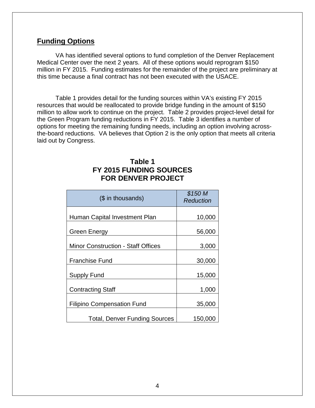## **Funding Options**

VA has identified several options to fund completion of the Denver Replacement Medical Center over the next 2 years. All of these options would reprogram \$150 million in FY 2015. Funding estimates for the remainder of the project are preliminary at this time because a final contract has not been executed with the USACE.

Table 1 provides detail for the funding sources within VA's existing FY 2015 resources that would be reallocated to provide bridge funding in the amount of \$150 million to allow work to continue on the project. Table 2 provides project-level detail for the Green Program funding reductions in FY 2015. Table 3 identifies a number of options for meeting the remaining funding needs, including an option involving acrossthe-board reductions. VA believes that Option 2 is the only option that meets all criteria laid out by Congress.

## **Table 1 FY 2015 FUNDING SOURCES FOR DENVER PROJECT**

| (\$ in thousands)                         | \$150 M<br><b>Reduction</b> |
|-------------------------------------------|-----------------------------|
| Human Capital Investment Plan             | 10,000                      |
| <b>Green Energy</b>                       | 56,000                      |
| <b>Minor Construction - Staff Offices</b> | 3,000                       |
| Franchise Fund                            | 30,000                      |
| <b>Supply Fund</b>                        | 15,000                      |
| <b>Contracting Staff</b>                  | 1,000                       |
| <b>Filipino Compensation Fund</b>         | 35,000                      |
| <b>Total, Denver Funding Sources</b>      | 150,000                     |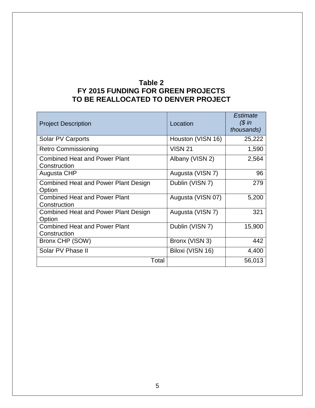## **Table 2 FY 2015 FUNDING FOR GREEN PROJECTS TO BE REALLOCATED TO DENVER PROJECT**

| <b>Project Description</b>                            | Location          | Estimate<br>$$$ in<br>thousands) |
|-------------------------------------------------------|-------------------|----------------------------------|
| Solar PV Carports                                     | Houston (VISN 16) | 25,222                           |
| <b>Retro Commissioning</b>                            | <b>VISN 21</b>    | 1,590                            |
| <b>Combined Heat and Power Plant</b><br>Construction  | Albany (VISN 2)   | 2,564                            |
| Augusta CHP                                           | Augusta (VISN 7)  | 96                               |
| <b>Combined Heat and Power Plant Design</b><br>Option | Dublin (VISN 7)   | 279                              |
| <b>Combined Heat and Power Plant</b><br>Construction  | Augusta (VISN 07) | 5,200                            |
| <b>Combined Heat and Power Plant Design</b><br>Option | Augusta (VISN 7)  | 321                              |
| <b>Combined Heat and Power Plant</b><br>Construction  | Dublin (VISN 7)   | 15,900                           |
| Bronx CHP (SOW)                                       | Bronx (VISN 3)    | 442                              |
| Solar PV Phase II                                     | Biloxi (VISN 16)  | 4,400                            |
| Total                                                 |                   | 56,013                           |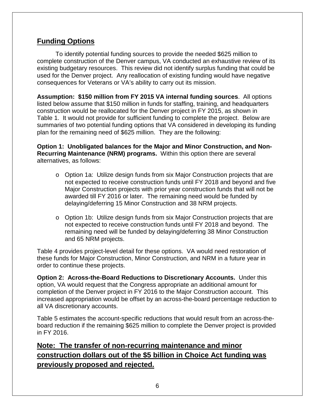## **Funding Options**

To identify potential funding sources to provide the needed \$625 million to complete construction of the Denver campus, VA conducted an exhaustive review of its existing budgetary resources. This review did not identify surplus funding that could be used for the Denver project. Any reallocation of existing funding would have negative consequences for Veterans or VA's ability to carry out its mission.

**Assumption: \$150 million from FY 2015 VA internal funding sources**. All options listed below assume that \$150 million in funds for staffing, training, and headquarters construction would be reallocated for the Denver project in FY 2015, as shown in Table 1. It would not provide for sufficient funding to complete the project. Below are summaries of two potential funding options that VA considered in developing its funding plan for the remaining need of \$625 million. They are the following:

**Option 1: Unobligated balances for the Major and Minor Construction, and Non-Recurring Maintenance (NRM) programs.** Within this option there are several alternatives, as follows:

- o Option 1a: Utilize design funds from six Major Construction projects that are not expected to receive construction funds until FY 2018 and beyond and five Major Construction projects with prior year construction funds that will not be awarded till FY 2016 or later. The remaining need would be funded by delaying/deferring 15 Minor Construction and 38 NRM projects.
- $\circ$  Option 1b: Utilize design funds from six Major Construction projects that are not expected to receive construction funds until FY 2018 and beyond. The remaining need will be funded by delaying/deferring 38 Minor Construction and 65 NRM projects.

Table 4 provides project-level detail for these options. VA would need restoration of these funds for Major Construction, Minor Construction, and NRM in a future year in order to continue these projects.

**Option 2: Across-the-Board Reductions to Discretionary Accounts.** Under this option, VA would request that the Congress appropriate an additional amount for completion of the Denver project in FY 2016 to the Major Construction account. This increased appropriation would be offset by an across-the-board percentage reduction to all VA discretionary accounts.

Table 5 estimates the account-specific reductions that would result from an across-theboard reduction if the remaining \$625 million to complete the Denver project is provided in FY 2016.

## **Note: The transfer of non-recurring maintenance and minor construction dollars out of the \$5 billion in Choice Act funding was previously proposed and rejected.**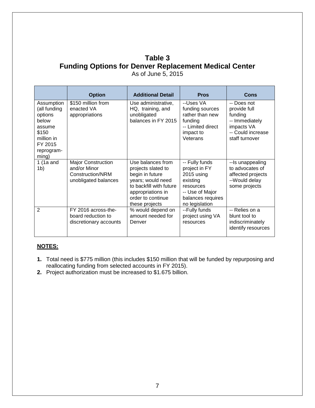## **Table 3 Funding Options for Denver Replacement Medical Center**

|                                                                                                                   | <b>Option</b>                                                                         | <b>Additional Detail</b>                                                                                                                                               | <b>Pros</b>                                                                                                                      | Cons                                                                                                          |
|-------------------------------------------------------------------------------------------------------------------|---------------------------------------------------------------------------------------|------------------------------------------------------------------------------------------------------------------------------------------------------------------------|----------------------------------------------------------------------------------------------------------------------------------|---------------------------------------------------------------------------------------------------------------|
| Assumption<br>(all funding<br>options<br>below<br>assume<br>\$150<br>million in<br>FY 2015<br>reprogram-<br>ming) | \$150 million from<br>enacted VA<br>appropriations                                    | Use administrative,<br>HQ, training, and<br>unobligated<br>balances in FY 2015                                                                                         | --Uses VA<br>funding sources<br>rather than new<br>funding<br>-- Limited direct<br>impact to<br>Veterans                         | -- Does not<br>provide full<br>funding<br>-- Immediately<br>impacts VA<br>-- Could increase<br>staff turnover |
| 1 $(1a$ and<br>1 <sub>b</sub>                                                                                     | <b>Major Construction</b><br>and/or Minor<br>Construction/NRM<br>unobligated balances | Use balances from<br>projects slated to<br>begin in future<br>years; would need<br>to backfill with future<br>appropriations in<br>order to continue<br>these projects | -- Fully funds<br>project in FY<br>2015 using<br>existing<br>resources<br>-- Use of Major<br>balances requires<br>no legislation | --Is unappealing<br>to advocates of<br>affected projects<br>--Would delay<br>some projects                    |
| $\overline{2}$                                                                                                    | FY 2016 across-the-<br>board reduction to<br>discretionary accounts                   | % would depend on<br>amount needed for<br>Denver                                                                                                                       | --Fully funds<br>project using VA<br>resources                                                                                   | -- Relies on a<br>blunt tool to<br>indiscriminately<br>identify resources                                     |

As of June 5, 2015

#### **NOTES:**

- **1.** Total need is \$775 million (this includes \$150 million that will be funded by repurposing and reallocating funding from selected accounts in FY 2015).
- **2.** Project authorization must be increased to \$1.675 billion.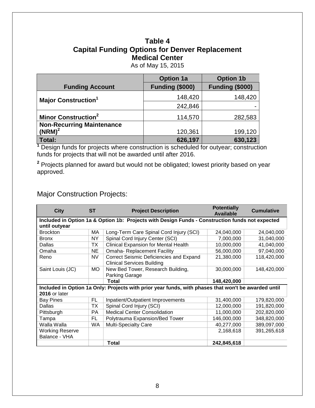## **Table 4 Capital Funding Options for Denver Replacement Medical Center**

As of May 15, 2015

|                                        | <b>Option 1a</b>       | <b>Option 1b</b> |
|----------------------------------------|------------------------|------------------|
| <b>Funding Account</b>                 | <b>Funding (\$000)</b> | Funding (\$000)  |
| <b>Major Construction</b> <sup>1</sup> | 148,420                | 148,420          |
|                                        | 242,846                |                  |
| <b>Minor Construction<sup>2</sup></b>  | 114,570                | 282,583          |
| <b>Non-Recurring Maintenance</b>       |                        |                  |
| $(NRM)^2$                              | 120,361                | 199,120          |
| Total:                                 | 626,197                | 630,123          |

**<sup>1</sup>** Design funds for projects where construction is scheduled for outyear; construction funds for projects that will not be awarded until after 2016.

**<sup>2</sup>** Projects planned for award but would not be obligated; lowest priority based on year approved.

## Major Construction Projects:

| <b>City</b>                                                                                                                 | <b>ST</b>                                                                                       | <b>Project Description</b>                                                   | <b>Potentially</b><br><b>Available</b> | <b>Cumulative</b> |  |  |  |  |
|-----------------------------------------------------------------------------------------------------------------------------|-------------------------------------------------------------------------------------------------|------------------------------------------------------------------------------|----------------------------------------|-------------------|--|--|--|--|
| until outyear                                                                                                               | Included in Option 1a & Option 1b: Projects with Design Funds - Construction funds not expected |                                                                              |                                        |                   |  |  |  |  |
| <b>Brockton</b>                                                                                                             | МA                                                                                              | Long-Term Care Spinal Cord Injury (SCI)                                      | 24,040,000                             | 24,040,000        |  |  |  |  |
| <b>Bronx</b>                                                                                                                | <b>NY</b>                                                                                       | Spinal Cord Injury Center (SCI)                                              | 7,000,000                              | 31,040,000        |  |  |  |  |
| Dallas                                                                                                                      | TX                                                                                              | <b>Clinical Expansion for Mental Health</b>                                  | 10,000,000                             | 41,040,000        |  |  |  |  |
| Omaha                                                                                                                       | NE.                                                                                             | <b>Omaha-Replacement Facility</b>                                            | 56,000,000                             | 97,040,000        |  |  |  |  |
| Reno                                                                                                                        | NV                                                                                              | Correct Seismic Deficiencies and Expand<br><b>Clinical Services Building</b> | 21,380,000                             | 118,420,000       |  |  |  |  |
| Saint Louis (JC)                                                                                                            | <b>MO</b>                                                                                       | New Bed Tower, Research Building,<br>Parking Garage                          | 30,000,000                             | 148,420,000       |  |  |  |  |
|                                                                                                                             |                                                                                                 | Total                                                                        | 148,420,000                            |                   |  |  |  |  |
| Included in Option 1a Only: Projects with prior year funds, with phases that won't be awarded until<br><b>2016</b> or later |                                                                                                 |                                                                              |                                        |                   |  |  |  |  |
| <b>Bay Pines</b>                                                                                                            | FL                                                                                              | Inpatient/Outpatient Improvements                                            | 31,400,000                             | 179,820,000       |  |  |  |  |
| Dallas                                                                                                                      | ТX                                                                                              | Spinal Cord Injury (SCI)                                                     | 12,000,000                             | 191,820,000       |  |  |  |  |
| Pittsburgh                                                                                                                  | PA                                                                                              | <b>Medical Center Consolidation</b>                                          | 11,000,000                             | 202,820,000       |  |  |  |  |
| Tampa                                                                                                                       | FL.                                                                                             | Polytrauma Expansion/Bed Tower                                               | 146,000,000                            | 348,820,000       |  |  |  |  |
| Walla Walla                                                                                                                 | WA                                                                                              | <b>Multi-Specialty Care</b>                                                  | 40,277,000                             | 389,097,000       |  |  |  |  |
| <b>Working Reserve</b><br>Balance - VHA                                                                                     |                                                                                                 |                                                                              | 2,168,618                              | 391,265,618       |  |  |  |  |
|                                                                                                                             |                                                                                                 | Total                                                                        | 242,845,618                            |                   |  |  |  |  |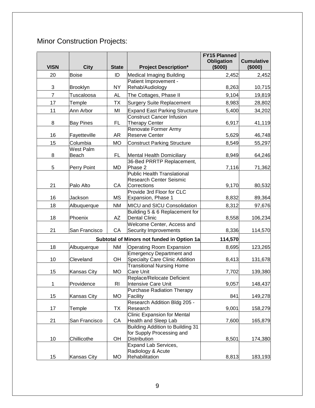# Minor Construction Projects:

| <b>VISN</b>    | <b>City</b>               | <b>State</b>   | <b>Project Description*</b>                                                                                  | <b>FY15 Planned</b><br><b>Obligation</b><br>(\$000) | <b>Cumulative</b><br>(\$000) |
|----------------|---------------------------|----------------|--------------------------------------------------------------------------------------------------------------|-----------------------------------------------------|------------------------------|
| 20             | <b>Boise</b>              | ID             | Medical Imaging Building                                                                                     | 2,452                                               | 2,452                        |
| 3              | Brooklyn                  | <b>NY</b>      | Patient Improvement -<br>Rehab/Audiology                                                                     | 8,263                                               | 10,715                       |
| $\overline{7}$ | Tuscaloosa                | <b>AL</b>      | The Cottages, Phase II                                                                                       | 9,104                                               | 19,819                       |
| 17             | Temple                    | <b>TX</b>      | <b>Surgery Suite Replacement</b>                                                                             | 8,983                                               | 28,802                       |
| 11             | Ann Arbor                 | MI             | <b>Expand East Parking Structure</b>                                                                         | 5,400                                               | 34,202                       |
| 8              | <b>Bay Pines</b>          | FL             | <b>Construct Cancer Infusion</b><br><b>Therapy Center</b>                                                    | 6,917                                               | 41,119                       |
| 16             | Fayetteville              | <b>AR</b>      | Renovate Former Army<br><b>Reserve Center</b>                                                                | 5,629                                               | 46,748                       |
| 15             | Columbia                  | <b>MO</b>      | Construct Parking Structure                                                                                  | 8,549                                               | 55,297                       |
| 8              | <b>West Palm</b><br>Beach | <b>FL</b>      | Mental Health Domiciliary                                                                                    | 8,949                                               | 64,246                       |
| 5              | Perry Point               | <b>MD</b>      | 36-Bed PRRTP Replacement,<br>Phase 2                                                                         | 7,116                                               | 71,362                       |
| 21             | Palo Alto                 | CA             | <b>Public Health Translational</b><br><b>Research Center Seismic</b><br>Corrections                          | 9,170                                               | 80,532                       |
| 16             | Jackson                   | <b>MS</b>      | Provide 3rd Floor for CLC<br>Expansion, Phase 1                                                              | 8,832                                               | 89,364                       |
| 18             | Albuquerque               | <b>NM</b>      | MICU and SICU Consolidation                                                                                  | 8,312                                               | 97,676                       |
| 18             | Phoenix                   | AZ             | Building 5 & 6 Replacement for<br><b>Dental Clinic</b>                                                       | 8,558                                               | 106,234                      |
| 21             | San Francisco             | CA             | Welcome Center, Access and<br><b>Security Improvements</b>                                                   | 8,336                                               | 114,570                      |
|                |                           |                | Subtotal of Minors not funded in Option 1a                                                                   | 114,570                                             |                              |
| 18             | Albuquerque               | <b>NM</b>      | <b>Operating Room Expansion</b>                                                                              | 8,695                                               | 123,265                      |
| 10             | Cleveland                 | OH             | <b>Emergency Department and</b><br><b>Specialty Care Clinic Addition</b>                                     | 8,413                                               | 131,678                      |
| 15             | Kansas City               | <b>MO</b>      | <b>Transitional Nursing Home</b><br><b>Care Unit</b>                                                         | 7,702                                               | 139,380                      |
| 1              | Providence                | R <sub>l</sub> | Replace/Relocate Deficient<br>Intensive Care Unit                                                            | 9,057                                               | 148,437                      |
| 15             | Kansas City               | <b>MO</b>      | <b>Purchase Radiation Therapy</b><br>Facility                                                                | 841                                                 | 149,278                      |
| 17             | Temple                    | TX             | Research Addition Bldg 205 -<br>Research                                                                     | 9,001                                               | 158,279                      |
| 21             | San Francisco             | CA             | <b>Clinic Expansion for Mental</b><br>Health and Sleep Lab                                                   | 7,600                                               | 165,879                      |
| 10             | Chillicothe               | OH             | Building Addition to Building 31<br>for Supply Processing and<br><b>Distribution</b><br>Expand Lab Services, | 8,501                                               | 174,380                      |
| 15             | Kansas City               | MO             | Radiology & Acute<br>Rehabilitation                                                                          | 8,813                                               | 183,193                      |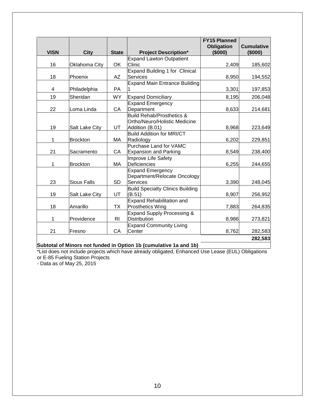| <b>VISN</b> | <b>City</b>           | <b>State</b>   | <b>Project Description*</b>                                                | <b>FY15 Planned</b><br><b>Obligation</b><br>(\$000) | <b>Cumulative</b><br>(\$000) |
|-------------|-----------------------|----------------|----------------------------------------------------------------------------|-----------------------------------------------------|------------------------------|
|             |                       |                | <b>Expand Lawton Outpatient</b>                                            |                                                     |                              |
| 16          | Oklahoma City         | OK             | Clinic                                                                     | 2,409                                               | 185,602                      |
|             |                       |                | Expand Building 1 for Clinical                                             |                                                     |                              |
| 18          | Phoenix               | AZ             | <b>Services</b>                                                            | 8,950                                               | 194,552                      |
| 4           | Philadelphia          | PA             | <b>Expand Main Entrance Building</b>                                       | 3,301                                               | 197,853                      |
| 19          | Sheridan              | <b>WY</b>      | <b>Expand Domiciliary</b>                                                  | 8,195                                               | 206,048                      |
|             |                       |                | <b>Expand Emergency</b>                                                    |                                                     |                              |
| 22          | Loma Linda            | CA             | Department                                                                 | 8,633                                               | 214,681                      |
|             |                       |                | <b>Build Rehab/Prosthetics &amp;</b><br>Ortho/Neuro/Holistic Medicine      |                                                     |                              |
| 19          | <b>Salt Lake City</b> | UT             | Addition (B.01)                                                            | 8,968                                               | 223,649                      |
| 1           | <b>Brockton</b>       | МA             | <b>Build Addition for MRI/CT</b><br>Radiology                              | 6,202                                               | 229,851                      |
| 21          | Sacramento            | СA             | Purchase Land for VAMC<br><b>Expansion and Parking</b>                     | 8,549                                               | 238,400                      |
| 1           | <b>Brockton</b>       | МA             | Improve Life Safety<br>Deficiencies                                        | 6,255                                               | 244,655                      |
| 23          | <b>Sioux Falls</b>    | <b>SD</b>      | <b>Expand Emergency</b><br>Department/Relocate Oncology<br><b>Services</b> | 3,390                                               | 248,045                      |
| 19          | <b>Salt Lake City</b> | UT             | <b>Build Specialty Clinics Building</b><br>(B.51)                          | 8,907                                               | 256,952                      |
| 18          | Amarillo              | ТX             | Expand Rehabilitation and<br><b>Prosthetics Wing</b>                       | 7,883                                               | 264,835                      |
| 1           | Providence            | R <sub>l</sub> | Expand Supply Processing &<br><b>Distribution</b>                          | 8,986                                               | 273,821                      |
| 21          | Fresno                | CA             | <b>Expand Community Living</b><br>Center                                   | 8,762                                               | 282,583                      |
|             |                       |                |                                                                            |                                                     | 282,583                      |

**Subtotal of Minors not funded in Option 1b (cumulative 1a and 1b)**

\*List does not include projects which have already obligated, Enhanced Use Lease (EUL) Obligations or E-85 Fueling Station Projects

- Data as of May 25, 2015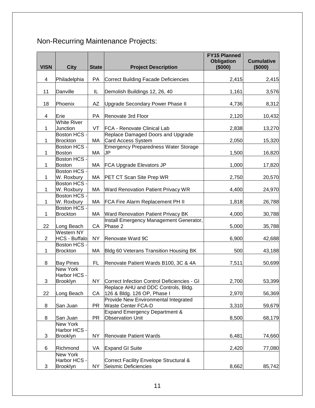## Non-Recurring Maintenance Projects:

| <b>VISN</b>    | <b>City</b>                     | <b>State</b> | <b>Project Description</b>                  | <b>FY15 Planned</b><br><b>Obligation</b><br>(\$000) | <b>Cumulative</b><br>(\$000) |
|----------------|---------------------------------|--------------|---------------------------------------------|-----------------------------------------------------|------------------------------|
|                |                                 |              |                                             |                                                     |                              |
| 4              | Philadelphia                    | PA           | <b>Correct Building Facade Deficiencies</b> | 2,415                                               | 2,415                        |
|                |                                 |              |                                             |                                                     |                              |
| 11             | Danville                        | IL           | Demolish Buildings 12, 26, 40               | 1,161                                               | 3,576                        |
|                |                                 |              |                                             |                                                     |                              |
| 18             | Phoenix                         | AZ           | Upgrade Secondary Power Phase II            | 4,736                                               | 8,312                        |
| 4              | Erie                            | PA           | Renovate 3rd Floor                          | 2,120                                               | 10,432                       |
|                | <b>White River</b>              |              |                                             |                                                     |                              |
| $\mathbf{1}$   | Junction                        | VT           | <b>FCA - Renovate Clinical Lab</b>          | 2,838                                               | 13,270                       |
|                | <b>Boston HCS -</b>             |              | Replace Damaged Doors and Upgrade           |                                                     |                              |
| 1              | <b>Brockton</b>                 | MA           | Card Access System                          | 2,050                                               | 15,320                       |
|                | Boston HCS -                    |              | <b>Emergency Preparedness Water Storage</b> |                                                     |                              |
| 1              | Boston                          | МA           | JP                                          | 1,500                                               | 16,820                       |
|                | Boston HCS -                    |              |                                             |                                                     |                              |
| 1              | Boston                          | MA           | <b>FCA Upgrade Elevators JP</b>             | 1,000                                               | 17,820                       |
|                | Boston HCS -                    |              |                                             |                                                     |                              |
| $\mathbf{1}$   | W. Roxbury                      | MA           | PET CT Scan Site Prep WR                    | 2,750                                               | 20,570                       |
|                | Boston HCS -                    |              |                                             |                                                     |                              |
| $\mathbf 1$    | W. Roxbury<br>Boston HCS -      | MA           | Ward Renovation Patient Privacy WR          | 4,400                                               | 24,970                       |
| $\mathbf{1}$   | W. Roxbury                      | MA           |                                             | 1,818                                               | 26,788                       |
|                | Boston HCS -                    |              | FCA Fire Alarm Replacement PH II            |                                                     |                              |
| 1              | <b>Brockton</b>                 | МA           | <b>Ward Renovation Patient Privacy BK</b>   | 4,000                                               | 30,788                       |
|                |                                 |              | Install Emergency Management Generator,     |                                                     |                              |
| 22             | Long Beach                      | CA           | Phase 2                                     | 5,000                                               | 35,788                       |
|                | Western NY                      |              |                                             |                                                     |                              |
| $\overline{2}$ | HCS - Buffalo                   | <b>NY</b>    | Renovate Ward 9C                            | 6,900                                               | 42,688                       |
|                | <b>Boston HCS -</b>             |              |                                             |                                                     |                              |
| $\mathbf 1$    | <b>Brockton</b>                 | МA           | Bldg 60 Veterans Transition Housing BK      | 500                                                 | 43,188                       |
|                |                                 |              |                                             |                                                     |                              |
| 8              | <b>Bay Pines</b>                | FL           | Renovate Patient Wards B100, 3C & 4A        | 7,511                                               | 50,699                       |
|                | <b>New York</b>                 |              |                                             |                                                     |                              |
|                | Harbor HCS -                    |              |                                             |                                                     |                              |
| 3              | <b>Brooklyn</b>                 | NY I         | Correct Infection Control Deficiencies - GI | 2.700                                               | 53.399                       |
|                |                                 |              | Replace AHU and DDC Controls, Bldg.         |                                                     |                              |
| 22             | Long Beach                      | CA           | 126 & Bldg. 126 OP, Phase I                 | 2,970                                               | 56,369                       |
|                |                                 |              | Provide New Environmental Integrated        |                                                     |                              |
| 8              | San Juan                        | <b>PR</b>    | <b>Waste Center FCA-D</b>                   | 3,310                                               | 59,679                       |
|                |                                 |              | <b>Expand Emergency Department &amp;</b>    |                                                     |                              |
| 8              | San Juan                        | <b>PR</b>    | <b>Observation Unit</b>                     | 8,500                                               | 68,179                       |
|                | <b>New York</b><br>Harbor HCS - |              |                                             |                                                     |                              |
| 3              | Brooklyn                        | <b>NY</b>    | <b>Renovate Patient Wards</b>               | 6,481                                               | 74,660                       |
|                |                                 |              |                                             |                                                     |                              |
| 6              | Richmond                        | VA           | <b>Expand GI Suite</b>                      | 2,420                                               | 77,080                       |
|                | <b>New York</b>                 |              |                                             |                                                     |                              |
|                | Harbor HCS -                    |              | Correct Facility Envelope Structural &      |                                                     |                              |
| 3              | Brooklyn                        | <b>NY</b>    | Seismic Deficiencies                        | 8,662                                               | 85,742                       |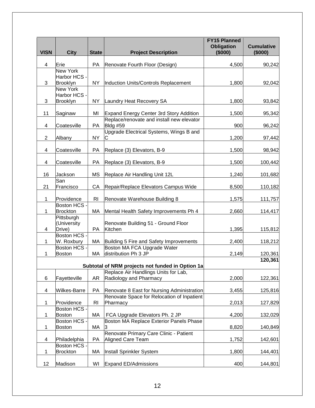| <b>VISN</b>    | <b>City</b>              | <b>State</b>   | <b>Project Description</b>                             | <b>FY15 Planned</b><br><b>Obligation</b><br>(\$000) | <b>Cumulative</b><br>(\$000) |
|----------------|--------------------------|----------------|--------------------------------------------------------|-----------------------------------------------------|------------------------------|
|                |                          |                |                                                        |                                                     |                              |
| 4              | Erie                     | PA             | Renovate Fourth Floor (Design)                         | 4,500                                               | 90,242                       |
|                | New York                 |                |                                                        |                                                     |                              |
|                | Harbor HCS -             |                |                                                        |                                                     |                              |
| 3              | <b>Brooklyn</b>          | <b>NY</b>      | Induction Units/Controls Replacement                   | 1,800                                               | 92,042                       |
|                | New York                 |                |                                                        |                                                     |                              |
| 3              | Harbor HCS -<br>Brooklyn | <b>NY</b>      | Laundry Heat Recovery SA                               | 1,800                                               | 93,842                       |
|                |                          |                |                                                        |                                                     |                              |
| 11             | Saginaw                  | MI             | <b>Expand Energy Center 3rd Story Addition</b>         | 1,500                                               | 95,342                       |
|                |                          |                | Replace/renovate and install new elevator              |                                                     |                              |
| 4              | Coatesville              | PA             | <b>Bldg #59</b>                                        | 900                                                 | 96,242                       |
|                |                          |                | Upgrade Electrical Systems, Wings B and                |                                                     |                              |
| $\overline{2}$ | Albany                   | <b>NY</b>      |                                                        | 1,200                                               | 97,442                       |
|                |                          |                |                                                        |                                                     |                              |
| 4              | Coatesville              | PA             | Replace (3) Elevators, B-9                             | 1,500                                               | 98,942                       |
|                |                          |                |                                                        |                                                     |                              |
| 4              | Coatesville              | PA             | Replace (3) Elevators, B-9                             | 1,500                                               | 100,442                      |
|                |                          |                |                                                        |                                                     |                              |
| 16             | Jackson                  | <b>MS</b>      | Replace Air Handling Unit 12L                          | 1,240                                               | 101,682                      |
|                | San                      |                |                                                        |                                                     |                              |
| 21             | Francisco                | CA             | Repair/Replace Elevators Campus Wide                   | 8,500                                               | 110,182                      |
| 1              | Providence               | R <sub>l</sub> | Renovate Warehouse Building 8                          | 1,575                                               |                              |
|                | Boston HCS -             |                |                                                        |                                                     | 111,757                      |
| 1              | <b>Brockton</b>          | MA             | Mental Health Safety Improvements Ph 4                 | 2,660                                               | 114,417                      |
|                | Pittsburgh               |                |                                                        |                                                     |                              |
|                | (University              |                | Renovate Building 51 - Ground Floor                    |                                                     |                              |
| 4              | Drive)                   | PA             | Kitchen                                                | 1,395                                               | 115,812                      |
|                | Boston HCS -             |                |                                                        |                                                     |                              |
| 1              | W. Roxbury               | МA             | Building 5 Fire and Safety Improvements                | 2,400                                               | 118,212                      |
|                | Boston HCS -             |                | Boston MA FCA Upgrade Water                            |                                                     |                              |
| 1              | <b>Boston</b>            | MA             | distribution Ph 3 JP                                   | 2,149                                               | 120,361                      |
|                |                          |                |                                                        |                                                     | 120,361                      |
|                |                          |                | Subtotal of NRM projects not funded in Option 1a       |                                                     |                              |
|                |                          |                | Replace Air Handlings Units for Lab,                   |                                                     |                              |
| 6              | Fayetteville             | AR             | Radiology and Pharmacy                                 | 2,000                                               | 122,361                      |
|                |                          |                |                                                        |                                                     |                              |
| 4              | Wilkes-Barre             | PA             | Renovate 8 East for Nursing Administration             | 3,455                                               | 125,816                      |
|                | Providence               | <b>RI</b>      | Renovate Space for Relocation of Inpatient<br>Pharmacy |                                                     |                              |
| 1              | Boston HCS -             |                |                                                        | 2,013                                               | 127,829                      |
| 1              | Boston                   | МA             | FCA Upgrade Elevators Ph. 2 JP                         | 4,200                                               | 132,029                      |
|                | Boston HCS ·             |                | Boston MA Replace Exterior Panels Phase                |                                                     |                              |
| 1              | Boston                   | МA             |                                                        | 8,820                                               | 140,849                      |
|                |                          |                | Renovate Primary Care Clinic - Patient                 |                                                     |                              |
| 4              | Philadelphia             | PA             | <b>Aligned Care Team</b>                               | 1,752                                               | 142,601                      |
|                | Boston HCS -             |                |                                                        |                                                     |                              |
| 1              | <b>Brockton</b>          | МA             | Install Sprinkler System                               | 1,800                                               | 144,401                      |
|                |                          |                |                                                        |                                                     |                              |
| 12             | Madison                  | WI             | <b>Expand ED/Admissions</b>                            | 400                                                 | 144,801                      |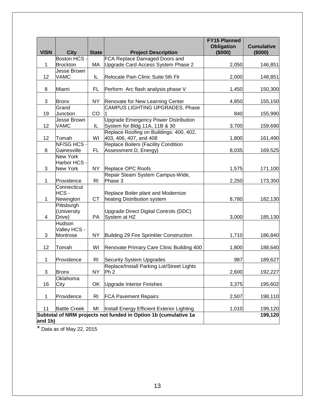|             |                                                    |                |                                                                              | <b>FY15 Planned</b><br><b>Obligation</b> | <b>Cumulative</b> |
|-------------|----------------------------------------------------|----------------|------------------------------------------------------------------------------|------------------------------------------|-------------------|
| <b>VISN</b> | <b>City</b><br>Boston HCS -                        | <b>State</b>   | <b>Project Description</b><br>FCA Replace Damaged Doors and                  | (\$000)                                  | (\$000)           |
| 1           | <b>Brockton</b>                                    | МA             | Upgrade Card Access System Phase 2                                           | 2,050                                    | 146,851           |
|             | Jesse Brown                                        |                |                                                                              |                                          |                   |
| 12          | VAMC                                               | IL             | Relocate Pain Clinic Suite 5th Flr                                           | 2,000                                    | 148,851           |
| 8           | Miami                                              | FL             | Perform Arc flash analysis phase V                                           | 1,450                                    | 150,300           |
| 3           | <b>Bronx</b>                                       | <b>NY</b>      | Renovate for New Learning Center                                             | 4,850                                    | 155,150           |
| 19          | Grand<br>Junction                                  | CO             | CAMPUS LIGHTING UPGRADES, Phase                                              | 840                                      | 155,990           |
| 12          | <b>Jesse Brown</b><br><b>VAMC</b>                  | IL             | <b>Upgrade Emergency Power Distribution</b><br>System for Bldg 11A, 11B & 30 | 3,700                                    | 159,690           |
| 12          | Tomah                                              | WI             | Replace Roofing on Buildings: 400, 402,<br>403, 406, 407, and 408            | 1,800                                    | 161,490           |
| 8           | NF/SG HCS -<br>Gainesville                         | FL             | Replace Boilers (Facility Condition<br>Assessment D, Energy)                 | 8,035                                    | 169,525           |
| 3           | <b>New York</b><br>Harbor HCS -<br><b>New York</b> | <b>NY</b>      | Replace OPC Roofs                                                            | 1,575                                    | 171,100           |
| 1           | Providence                                         | R <sub>l</sub> | Repair Steam System Campus-Wide,<br>Phase 3                                  | 2,250                                    | 173,350           |
| 1           | Connecticut<br>HCS-<br>Newington                   | <b>CT</b>      | Replace Boiler plant and Modernize<br>heating Distribution system            | 8,780                                    | 182,130           |
| 4           | Pittsburgh<br>(University<br>Drive)                | PA             | Upgrade Direct Digital Controls (DDC)<br>System at HZ                        | 3,000                                    | 185,130           |
| 3           | Hudson<br>Valley HCS -<br>Montrose                 | <b>NY</b>      | Building 29 Fire Sprinkler Construction                                      | 1,710                                    | 186,840           |
| 12          | Tomah                                              | WI             | Renovate Primary Care Clinic Building 400                                    | 1,800                                    | 188,640           |
| 1           | Providence                                         | <b>RI</b>      | <b>Security System Upgrades</b>                                              | 987                                      | 189,627           |
| 3           | <b>Bronx</b>                                       | <b>NY</b>      | Replace/Install Parking Lot/Street Lights<br>Ph <sub>2</sub>                 | 2,600                                    | 192,227           |
|             | Oklahoma                                           |                |                                                                              |                                          |                   |
| 16          | City                                               | OK             | <b>Upgrade Interior Finishes</b>                                             | 3,375                                    | 195,602           |
| 1           | Providence                                         | R <sub>l</sub> | <b>FCA Pavement Repairs</b>                                                  | 2,507                                    | 198,110           |
| 11          | <b>Battle Creek</b>                                | MI             | Install Energy Efficient Exterior Lighting                                   | 1,010                                    | 199,120           |
| and 1b)     |                                                    |                | Subtotal of NRM projects not funded in Option 1b (cumulative 1a              |                                          | 199,120           |

\* Data as of May 22, 2015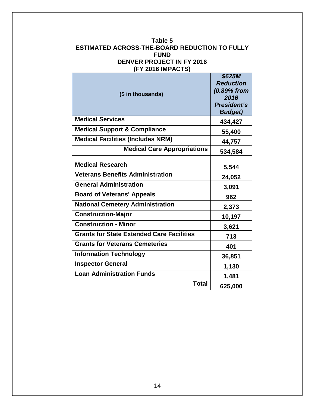#### **Table 5 ESTIMATED ACROSS-THE-BOARD REDUCTION TO FULLY FUND DENVER PROJECT IN FY 2016 (FY 2016 IMPACTS)**

| (\$ in thousands)                                | \$625M<br><b>Reduction</b><br>(0.89% from<br>2016<br><b>President's</b><br><b>Budget)</b> |
|--------------------------------------------------|-------------------------------------------------------------------------------------------|
| <b>Medical Services</b>                          | 434,427                                                                                   |
| <b>Medical Support &amp; Compliance</b>          | 55,400                                                                                    |
| <b>Medical Facilities (Includes NRM)</b>         | 44,757                                                                                    |
| <b>Medical Care Appropriations</b>               | 534,584                                                                                   |
|                                                  |                                                                                           |
| <b>Medical Research</b>                          | 5,544                                                                                     |
| <b>Veterans Benefits Administration</b>          | 24,052                                                                                    |
| <b>General Administration</b>                    | 3,091                                                                                     |
| <b>Board of Veterans' Appeals</b>                | 962                                                                                       |
| <b>National Cemetery Administration</b>          | 2,373                                                                                     |
| <b>Construction-Major</b>                        | 10,197                                                                                    |
| <b>Construction - Minor</b>                      | 3,621                                                                                     |
| <b>Grants for State Extended Care Facilities</b> | 713                                                                                       |
| <b>Grants for Veterans Cemeteries</b>            | 401                                                                                       |
| <b>Information Technology</b>                    | 36,851                                                                                    |
| <b>Inspector General</b>                         | 1,130                                                                                     |
| <b>Loan Administration Funds</b>                 | 1,481                                                                                     |
| <b>Total</b>                                     | 625,000                                                                                   |